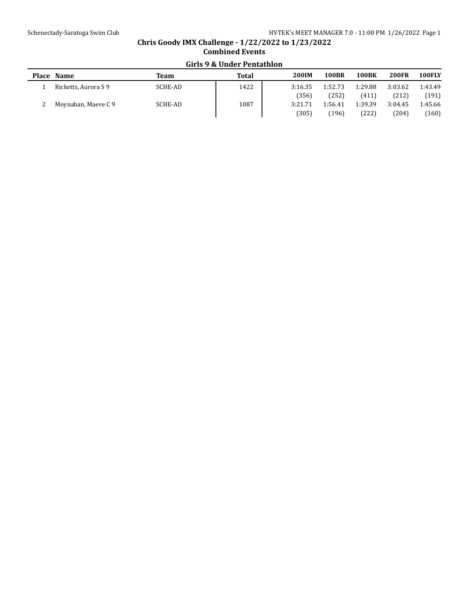# **Chris Goody IMX Challenge - 1/22/2022 to 1/23/2022 Combined Events Girls 9 & Under Pentathlon**

| Place Name           | Team    | Total | <b>200IM</b> | <b>100BR</b> | <b>100BK</b> | <b>200FR</b> | 100FLY  |
|----------------------|---------|-------|--------------|--------------|--------------|--------------|---------|
| Ricketts, Aurora S 9 | SCHE-AD | 1422  | 3:16.35      | 1:52.73      | 1:29.88      | 3:03.62      | 1:43.49 |
|                      |         |       | (356)        | (252)        | (411)        | (212)        | (191)   |
| Moynahan, Maeve C 9  | SCHE-AD | 1087  | 3:21.71      | 1:56.41      | 1:39.39      | 3:04.45      | 1:45.66 |
|                      |         |       | (305)        | [196]        | (222)        | (204)        | (160)   |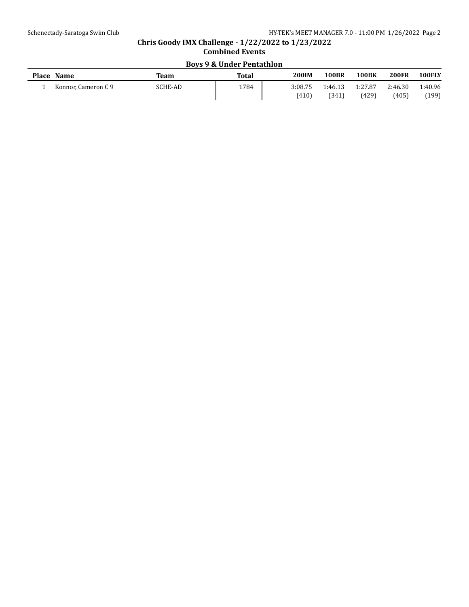# **Chris Goody IMX Challenge - 1/22/2022 to 1/23/2022 Combined Events Boys 9 & Under Pentathlon**

| <b>Place</b> | <b>Name</b>         | Team           | <b>Total</b> | <b>200IM</b> | 100BR   | <b>100BK</b> | <b>200FR</b> | <b>100FLY</b> |
|--------------|---------------------|----------------|--------------|--------------|---------|--------------|--------------|---------------|
|              | Konnor, Cameron C 9 | <b>SCHE-AD</b> | 1784         | 3:08.75      | 1:46.13 | 1:27.87      | 2:46.30      | 1:40.96       |
|              |                     |                |              | (410)        | (341)   | (429)        | (405)        | (199)         |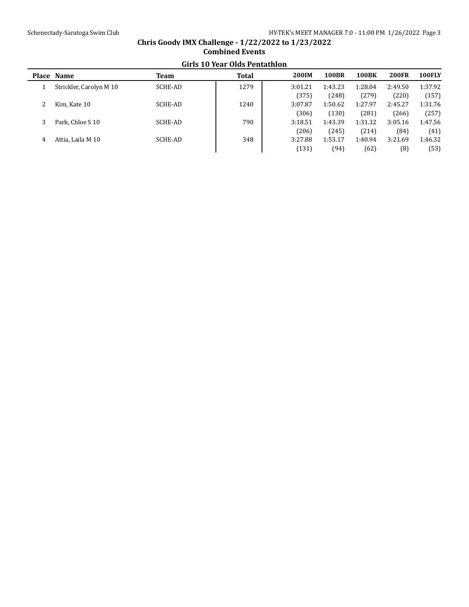## **Place Name Team Total 200IM 100BR 100BK 200FR 100FLY** 1 Strickler, Carolyn M 10 SCHE-AD 1279 3:01.21 1:43.23 1:28.04 2:49.50 1:37.92 (375) (248) (279) (220) (157) 2 Kim, Kate 10 SCHE-AD 1240 3:07.87 1:50.62 1:27.97 2:45.27 1:31.76 (306) (130) (281) (266) (257) 3 Park, Chloe S 10 SCHE-AD 790 3:18.51 1:43.39 1:31.32 3:05.16 1:47.56 (206) (245) (214) (84) (41) 4 Attia, Laila M 10 SCHE-AD 348 3:27.88 1:53.17 1:40.94 3:21.69 1:46.32 (131) (94) (62) (8) (53)

## **Chris Goody IMX Challenge - 1/22/2022 to 1/23/2022 Combined Events Girls 10 Year Olds Pentathlon**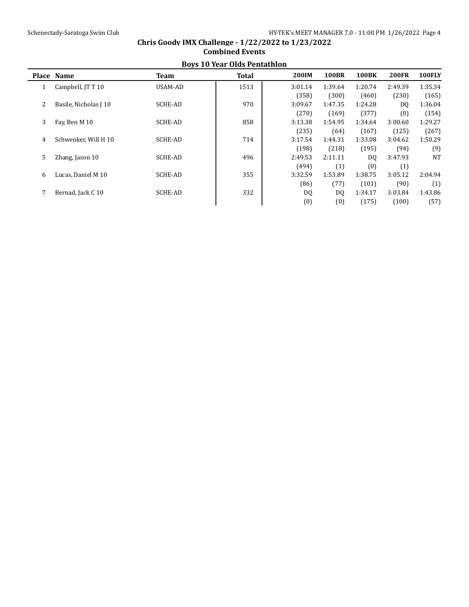|   | <b>BOVS TO YEAR ORDS PERICALITION</b> |                |              |              |              |              |              |               |  |  |
|---|---------------------------------------|----------------|--------------|--------------|--------------|--------------|--------------|---------------|--|--|
|   | Place Name                            | Team           | <b>Total</b> | <b>200IM</b> | <b>100BR</b> | <b>100BK</b> | <b>200FR</b> | <b>100FLY</b> |  |  |
| 1 | Campbell, JT T 10                     | USAM-AD        | 1513         | 3:01.14      | 1:39.64      | 1:20.74      | 2:49.39      | 1:35.34       |  |  |
|   |                                       |                |              | (358)        | (300)        | (460)        | (230)        | (165)         |  |  |
| 2 | Basile, Nicholas J 10                 | SCHE-AD        | 970          | 3:09.67      | 1:47.35      | 1:24.28      | DQ           | 1:36.04       |  |  |
|   |                                       |                |              | (270)        | (169)        | (377)        | (0)          | (154)         |  |  |
| 3 | Fay, Ben M 10                         | <b>SCHE-AD</b> | 858          | 3:13.38      | 1:54.95      | 1:34.64      | 3:00.60      | 1:29.27       |  |  |
|   |                                       |                |              | (235)        | (64)         | (167)        | (125)        | (267)         |  |  |
| 4 | Schwenker. Will H 10                  | SCHE-AD        | 714          | 3:17.54      | 1:44.31      | 1:33.08      | 3:04.62      | 1:50.29       |  |  |
|   |                                       |                |              | (198)        | (218)        | (195)        | (94)         | (9)           |  |  |
| 5 | Zhang, Jason 10                       | <b>SCHE-AD</b> | 496          | 2:49.53      | 2:11.11      | DQ           | 3:47.93      | <b>NT</b>     |  |  |
|   |                                       |                |              | (494)        | (1)          | (0)          | (1)          |               |  |  |
| 6 | Lucas, Daniel M 10                    | <b>SCHE-AD</b> | 355          | 3:32.59      | 1:53.89      | 1:38.75      | 3:05.12      | 2:04.94       |  |  |
|   |                                       |                |              | (86)         | (77)         | (101)        | (90)         | (1)           |  |  |
|   | Bernad, Jack C 10                     | <b>SCHE-AD</b> | 332          | DQ           | DQ           | 1:34.17      | 3:03.84      | 1:43.86       |  |  |
|   |                                       |                |              | (0)          | (0)          | (175)        | (100)        | (57)          |  |  |

#### **Chris Goody IMX Challenge - 1/22/2022 to 1/23/2022 Combined Events Boys 10 Year Olds Pentathlon**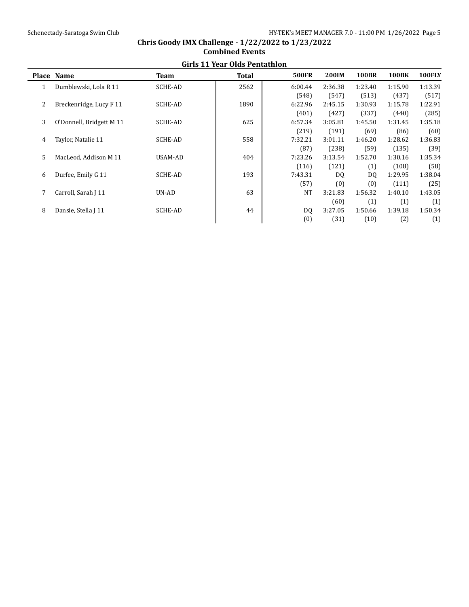|   | GILIS 11 real ORGS Pentatulum |                |              |                |         |              |              |         |  |  |  |
|---|-------------------------------|----------------|--------------|----------------|---------|--------------|--------------|---------|--|--|--|
|   | Place Name                    | Team           | <b>Total</b> | <b>500FR</b>   | 200IM   | <b>100BR</b> | <b>100BK</b> | 100FLY  |  |  |  |
|   | Dumblewski, Lola R 11         | <b>SCHE-AD</b> | 2562         | 6:00.44        | 2:36.38 | 1:23.40      | 1:15.90      | 1:13.39 |  |  |  |
|   |                               |                |              | (548)          | (547)   | (513)        | (437)        | (517)   |  |  |  |
| 2 | Breckenridge, Lucy F 11       | <b>SCHE-AD</b> | 1890         | 6:22.96        | 2:45.15 | 1:30.93      | 1:15.78      | 1:22.91 |  |  |  |
|   |                               |                |              | (401)          | (427)   | (337)        | (440)        | (285)   |  |  |  |
| 3 | O'Donnell, Bridgett M 11      | <b>SCHE-AD</b> | 625          | 6:57.34        | 3:05.81 | 1:45.50      | 1:31.45      | 1:35.18 |  |  |  |
|   |                               |                |              | (219)          | (191)   | (69)         | (86)         | (60)    |  |  |  |
| 4 | Taylor, Natalie 11            | <b>SCHE-AD</b> | 558          | 7:32.21        | 3:01.11 | 1:46.20      | 1:28.62      | 1:36.83 |  |  |  |
|   |                               |                |              | (87)           | (238)   | (59)         | (135)        | (39)    |  |  |  |
| 5 | MacLeod, Addison M 11         | USAM-AD        | 404          | 7:23.26        | 3:13.54 | 1:52.70      | 1:30.16      | 1:35.34 |  |  |  |
|   |                               |                |              | (116)          | (121)   | (1)          | (108)        | (58)    |  |  |  |
| 6 | Durfee, Emily G 11            | <b>SCHE-AD</b> | 193          | 7:43.31        | DQ      | DQ           | 1:29.95      | 1:38.04 |  |  |  |
|   |                               |                |              | (57)           | (0)     | (0)          | (111)        | (25)    |  |  |  |
|   | Carroll, Sarah J 11           | UN-AD          | 63           | <b>NT</b>      | 3:21.83 | 1:56.32      | 1:40.10      | 1:43.05 |  |  |  |
|   |                               |                |              |                | (60)    | (1)          | (1)          | (1)     |  |  |  |
| 8 | Dansie, Stella J 11           | <b>SCHE-AD</b> | 44           | D <sub>0</sub> | 3:27.05 | 1:50.66      | 1:39.18      | 1:50.34 |  |  |  |
|   |                               |                |              | (0)            | (31)    | (10)         | (2)          | (1)     |  |  |  |

#### **Chris Goody IMX Challenge - 1/22/2022 to 1/23/2022 Combined Events Girls 11 Year Olds Pentathlon**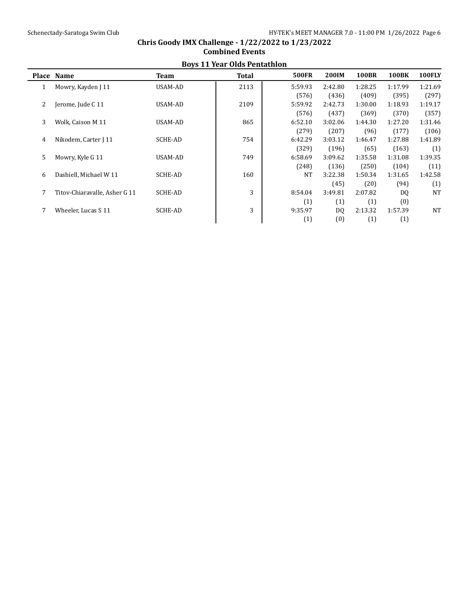| <b>DOVS II real ORIS PEINAMION</b> |                               |                |              |              |         |              |              |               |  |  |
|------------------------------------|-------------------------------|----------------|--------------|--------------|---------|--------------|--------------|---------------|--|--|
|                                    | Place Name                    | Team           | <b>Total</b> | <b>500FR</b> | 200IM   | <b>100BR</b> | <b>100BK</b> | <b>100FLY</b> |  |  |
| 1                                  | Mowry, Kayden J 11            | USAM-AD        | 2113         | 5:59.93      | 2:42.80 | 1:28.25      | 1:17.99      | 1:21.69       |  |  |
|                                    |                               |                |              | (576)        | (436)   | (409)        | (395)        | (297)         |  |  |
| 2                                  | Jerome, Jude C 11             | USAM-AD        | 2109         | 5:59.92      | 2:42.73 | 1:30.00      | 1:18.93      | 1:19.17       |  |  |
|                                    |                               |                |              | (576)        | (437)   | (369)        | (370)        | (357)         |  |  |
| 3                                  | Wolk, Caison M 11             | USAM-AD        | 865          | 6:52.10      | 3:02.06 | 1:44.30      | 1:27.20      | 1:31.46       |  |  |
|                                    |                               |                |              | (279)        | (207)   | (96)         | (177)        | (106)         |  |  |
| 4                                  | Nikodem, Carter J 11          | SCHE-AD        | 754          | 6:42.29      | 3:03.12 | 1:46.47      | 1:27.88      | 1:41.89       |  |  |
|                                    |                               |                |              | (329)        | (196)   | (65)         | (163)        | (1)           |  |  |
| 5                                  | Mowry, Kyle G 11              | USAM-AD        | 749          | 6:58.69      | 3:09.62 | 1:35.58      | 1:31.08      | 1:39.35       |  |  |
|                                    |                               |                |              | (248)        | (136)   | (250)        | (104)        | (11)          |  |  |
| 6                                  | Dashiell, Michael W 11        | SCHE-AD        | 160          | <b>NT</b>    | 3:22.38 | 1:50.34      | 1:31.65      | 1:42.58       |  |  |
|                                    |                               |                |              |              | (45)    | (20)         | (94)         | (1)           |  |  |
|                                    | Titov-Chiaravalle, Asher G 11 | <b>SCHE-AD</b> | 3            | 8:54.04      | 3:49.81 | 2:07.82      | DQ           | <b>NT</b>     |  |  |
|                                    |                               |                |              | (1)          | (1)     | (1)          | (0)          |               |  |  |
|                                    | Wheeler. Lucas S 11           | <b>SCHE-AD</b> | 3            | 9:35.97      | DQ      | 2:13.32      | 1:57.39      | <b>NT</b>     |  |  |
|                                    |                               |                |              | (1)          | (0)     | (1)          | (1)          |               |  |  |

### **Chris Goody IMX Challenge - 1/22/2022 to 1/23/2022 Combined Events Boys 11 Year Olds Pentathlon**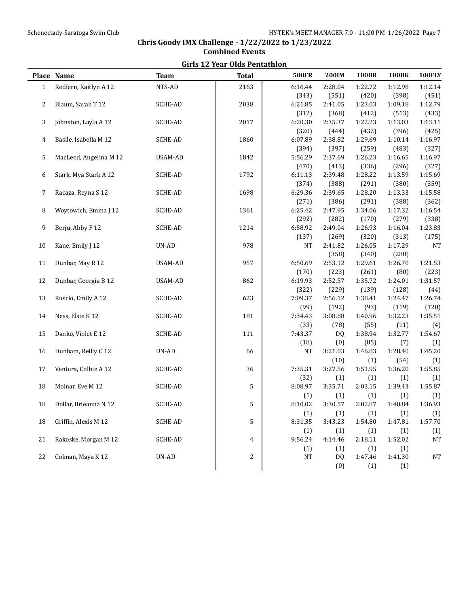|              |                        |                | an is 12 Tear Olds I cheachtoil |              |           |              |              |           |
|--------------|------------------------|----------------|---------------------------------|--------------|-----------|--------------|--------------|-----------|
|              | Place Name             | <b>Team</b>    | <b>Total</b>                    | <b>500FR</b> | 200IM     | <b>100BR</b> | <b>100BK</b> | 100FLY    |
| $\mathbf{1}$ | Redfern, Kaitlyn A 12  | NTS-AD         | 2163                            | 6:16.44      | 2:28.04   | 1:22.72      | 1:12.98      | 1:12.14   |
|              |                        |                |                                 | (343)        | (551)     | (420)        | (398)        | (451)     |
| 2            | Blaum, Sarah T 12      | SCHE-AD        | 2038                            | 6:21.85      | 2:41.05   | 1:23.03      | 1:09.18      | 1:12.79   |
|              |                        |                |                                 | (312)        | (368)     | (412)        | (513)        | (433)     |
| 3            | Johnston, Layla A 12   | SCHE-AD        | 2017                            | 6:20.30      | 2:35.37   | 1:22.23      | 1:13.03      | 1:13.11   |
|              |                        |                |                                 | (320)        | (444)     | (432)        | (396)        | (425)     |
| 4            | Basile, Isabella M 12  | SCHE-AD        | 1860                            | 6:07.89      | 2:38.82   | 1:29.69      | 1:10.14      | 1:16.97   |
|              |                        |                |                                 | (394)        | (397)     | (259)        | (483)        | (327)     |
| 5            | MacLeod, Angelina M 12 | USAM-AD        | 1842                            | 5:56.29      | 2:37.69   | 1:26.23      | 1:16.65      | 1:16.97   |
|              |                        |                |                                 | (470)        | (413)     | (336)        | (296)        | (327)     |
| 6            | Stark, Mya Stark A 12  | SCHE-AD        | 1792                            | 6:11.13      | 2:39.48   | 1:28.22      | 1:13.59      | 1:15.69   |
|              |                        |                |                                 | (374)        | (388)     | (291)        | (380)        | (359)     |
| 7            | Racaza, Reyna S 12     | SCHE-AD        | 1698                            | 6:29.36      | 2:39.65   | 1:28.20      | 1:13.33      | 1:15.58   |
|              |                        |                |                                 | (271)        | (386)     | (291)        | (388)        | (362)     |
| 8            | Woytowich, Emma J 12   | <b>SCHE-AD</b> | 1361                            | 6:25.42      | 2:47.95   | 1:34.06      | 1:17.32      | 1:16.54   |
|              |                        |                |                                 | (292)        | (282)     | (170)        | (279)        | (338)     |
| 9            | Berju, Abby F 12       | SCHE-AD        | 1214                            | 6:58.92      | 2:49.04   | 1:26.93      | 1:16.04      | 1:23.83   |
|              |                        |                |                                 | (137)        | (269)     | (320)        | (313)        | (175)     |
| 10           | Kane, Emily J 12       | UN-AD          | 978                             | <b>NT</b>    | 2:41.82   | 1:26.05      | 1:17.29      | <b>NT</b> |
|              |                        |                |                                 |              | (358)     | (340)        | (280)        |           |
| 11           | Dunbar, May R 12       | USAM-AD        | 957                             | 6:50.69      | 2:53.12   | 1:29.61      | 1:26.70      | 1:21.53   |
|              |                        |                |                                 | (170)        | (223)     | (261)        | (80)         | (223)     |
| 12           | Dunbar, Georgia B 12   | USAM-AD        | 862                             | 6:19.93      | 2:52.57   | 1:35.72      | 1:24.01      | 1:31.57   |
|              |                        |                |                                 | (322)        | (229)     | (139)        | (128)        | (44)      |
| 13           | Ruscio, Emily A 12     | SCHE-AD        | 623                             | 7:09.37      | 2:56.12   | 1:38.41      | 1:24.47      | 1:26.74   |
|              |                        |                |                                 | (99)         | (192)     | (93)         | (119)        | (120)     |
| 14           | Ness, Elsie K 12       | SCHE-AD        | 181                             | 7:34.43      | 3:08.88   | 1:40.96      | 1:32.23      | 1:35.51   |
|              |                        |                |                                 | (33)         | (78)      | (55)         | (11)         | (4)       |
| 15           | Danko, Violet E 12     | SCHE-AD        | 111                             | 7:43.37      | <b>DQ</b> | 1:38.94      | 1:32.77      | 1:54.67   |
|              |                        |                |                                 | (18)         | (0)       | (85)         | (7)          | (1)       |
| 16           | Dunham, Reilly C 12    | UN-AD          | 66                              | <b>NT</b>    | 3:21.03   | 1:46.83      | 1:28.40      | 1:45.20   |
|              |                        |                |                                 |              | (10)      | (1)          | (54)         | (1)       |
| 17           | Ventura, Colbie A 12   | <b>SCHE-AD</b> | 36                              | 7:35.31      | 3:27.56   | 1:51.95      | 1:36.20      | 1:55.85   |
|              |                        |                |                                 | (32)         | (1)       | (1)          | (1)          | (1)       |
| 18           | Molnar, Eve M 12       | SCHE-AD        | 5                               | 8:08.97      | 3:35.71   | 2:03.15      | 1:39.43      | 1:55.87   |
|              |                        |                |                                 | (1)          | (1)       | (1)          | (1)          | (1)       |
| 18           | Dollar, Brieanna N 12  | SCHE-AD        | 5                               | 8:10.02      | 3:30.57   | 2:02.87      | 1:40.84      | 1:36.93   |
|              |                        |                |                                 | (1)          | (1)       | (1)          | (1)          | (1)       |
| 18           | Griffin, Alexis M 12   | SCHE-AD        | 5                               | 8:31.35      | 3:43.23   | 1:54.80      | 1:47.81      | 1:57.70   |
|              |                        |                |                                 | (1)          | (1)       | (1)          | (1)          | (1)       |
| 21           | Rakoske, Morgan M 12   | SCHE-AD        | 4                               | 9:56.24      | 4:14.46   | 2:18.11      | 1:52.02      | <b>NT</b> |
|              |                        |                |                                 | (1)          | (1)       | (1)          | (1)          |           |
| 22           | Colman, Maya K 12      | UN-AD          | 2                               | NT           | DQ        | 1:47.46      | 1:41.30      | <b>NT</b> |
|              |                        |                |                                 |              | (0)       | (1)          | (1)          |           |
|              |                        |                |                                 |              |           |              |              |           |

## **Chris Goody IMX Challenge - 1/22/2022 to 1/23/2022 Combined Events Girls 12 Year Olds Pentathlon**